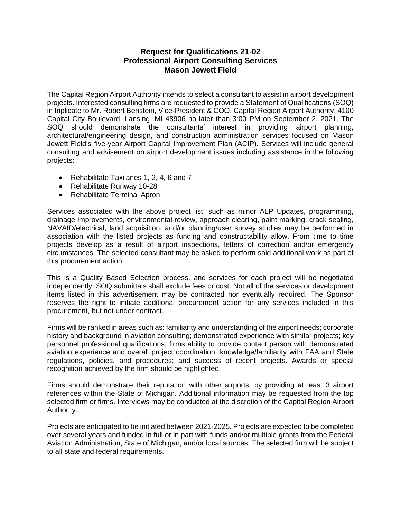## **Request for Qualifications 21-02 Professional Airport Consulting Services Mason Jewett Field**

The Capital Region Airport Authority intends to select a consultant to assist in airport development projects. Interested consulting firms are requested to provide a Statement of Qualifications (SOQ) in triplicate to Mr. Robert Benstein, Vice-President & COO, Capital Region Airport Authority, 4100 Capital City Boulevard, Lansing, MI 48906 no later than 3:00 PM on September 2, 2021. The SOQ should demonstrate the consultants' interest in providing airport planning, architectural/engineering design, and construction administration services focused on Mason Jewett Field's five-year Airport Capital Improvement Plan (ACIP). Services will include general consulting and advisement on airport development issues including assistance in the following projects:

- Rehabilitate Taxilanes 1, 2, 4, 6 and 7
- Rehabilitate Runway 10-28
- Rehabilitate Terminal Apron

Services associated with the above project list, such as minor ALP Updates, programming, drainage improvements, environmental review, approach clearing, paint marking, crack sealing, NAVAID/electrical, land acquisition, and/or planning/user survey studies may be performed in association with the listed projects as funding and constructability allow. From time to time projects develop as a result of airport inspections, letters of correction and/or emergency circumstances. The selected consultant may be asked to perform said additional work as part of this procurement action.

This is a Quality Based Selection process, and services for each project will be negotiated independently. SOQ submittals shall exclude fees or cost. Not all of the services or development items listed in this advertisement may be contracted nor eventually required. The Sponsor reserves the right to initiate additional procurement action for any services included in this procurement, but not under contract.

Firms will be ranked in areas such as: familiarity and understanding of the airport needs; corporate history and background in aviation consulting; demonstrated experience with similar projects; key personnel professional qualifications; firms ability to provide contact person with demonstrated aviation experience and overall project coordination; knowledge/familiarity with FAA and State regulations, policies, and procedures; and success of recent projects. Awards or special recognition achieved by the firm should be highlighted.

Firms should demonstrate their reputation with other airports, by providing at least 3 airport references within the State of Michigan. Additional information may be requested from the top selected firm or firms. Interviews may be conducted at the discretion of the Capital Region Airport Authority.

Projects are anticipated to be initiated between 2021-2025. Projects are expected to be completed over several years and funded in full or in part with funds and/or multiple grants from the Federal Aviation Administration, State of Michigan, and/or local sources. The selected firm will be subject to all state and federal requirements.